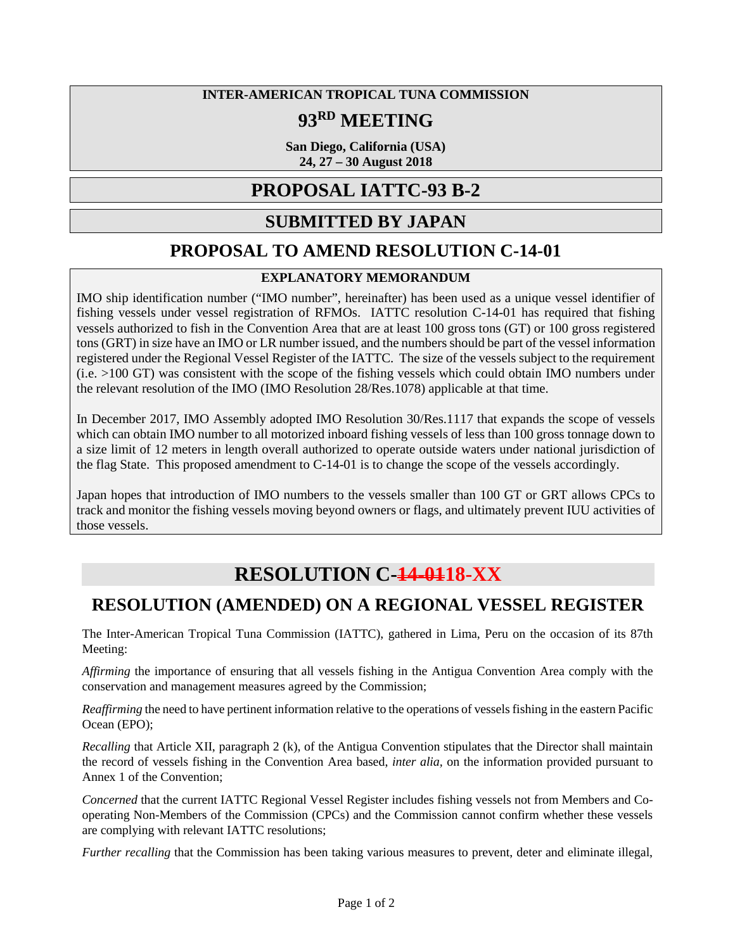#### **INTER-AMERICAN TROPICAL TUNA COMMISSION**

## **93RD MEETING**

**San Diego, California (USA) 24, 27 – 30 August 2018**

### **PROPOSAL IATTC-93 B-2**

#### **SUBMITTED BY JAPAN**

### **PROPOSAL TO AMEND RESOLUTION C-14-01**

#### **EXPLANATORY MEMORANDUM**

IMO ship identification number ("IMO number", hereinafter) has been used as a unique vessel identifier of fishing vessels under vessel registration of RFMOs. IATTC resolution C-14-01 has required that fishing vessels authorized to fish in the Convention Area that are at least 100 gross tons (GT) or 100 gross registered tons (GRT) in size have an IMO or LR number issued, and the numbers should be part of the vessel information registered under the Regional Vessel Register of the IATTC. The size of the vessels subject to the requirement (i.e. >100 GT) was consistent with the scope of the fishing vessels which could obtain IMO numbers under the relevant resolution of the IMO (IMO Resolution 28/Res.1078) applicable at that time.

In December 2017, IMO Assembly adopted IMO Resolution 30/Res.1117 that expands the scope of vessels which can obtain IMO number to all motorized inboard fishing vessels of less than 100 gross tonnage down to a size limit of 12 meters in length overall authorized to operate outside waters under national jurisdiction of the flag State. This proposed amendment to C-14-01 is to change the scope of the vessels accordingly.

Japan hopes that introduction of IMO numbers to the vessels smaller than 100 GT or GRT allows CPCs to track and monitor the fishing vessels moving beyond owners or flags, and ultimately prevent IUU activities of those vessels.

# **RESOLUTION C-14-0118-XX**

## **RESOLUTION (AMENDED) ON A REGIONAL VESSEL REGISTER**

The Inter-American Tropical Tuna Commission (IATTC), gathered in Lima, Peru on the occasion of its 87th Meeting:

*Affirming* the importance of ensuring that all vessels fishing in the Antigua Convention Area comply with the conservation and management measures agreed by the Commission;

*Reaffirming* the need to have pertinent information relative to the operations of vessels fishing in the eastern Pacific Ocean (EPO);

*Recalling* that Article XII, paragraph 2 (k), of the Antigua Convention stipulates that the Director shall maintain the record of vessels fishing in the Convention Area based, *inter alia,* on the information provided pursuant to Annex 1 of the Convention;

*Concerned* that the current IATTC Regional Vessel Register includes fishing vessels not from Members and Cooperating Non-Members of the Commission (CPCs) and the Commission cannot confirm whether these vessels are complying with relevant IATTC resolutions;

*Further recalling* that the Commission has been taking various measures to prevent, deter and eliminate illegal,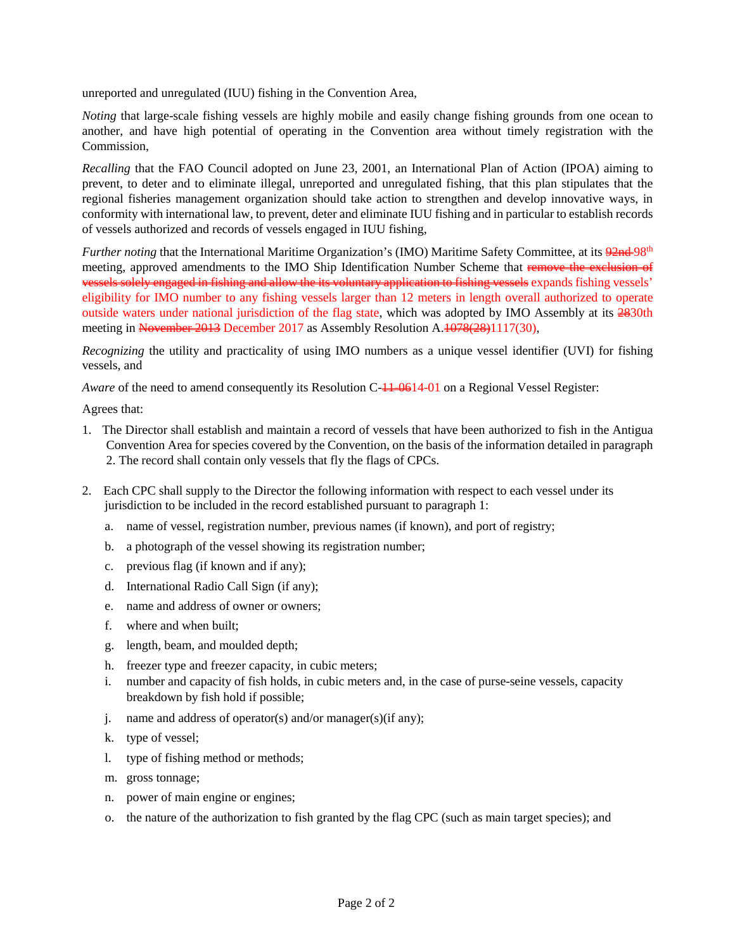unreported and unregulated (IUU) fishing in the Convention Area,

*Noting* that large-scale fishing vessels are highly mobile and easily change fishing grounds from one ocean to another, and have high potential of operating in the Convention area without timely registration with the Commission,

*Recalling* that the FAO Council adopted on June 23, 2001, an International Plan of Action (IPOA) aiming to prevent, to deter and to eliminate illegal, unreported and unregulated fishing, that this plan stipulates that the regional fisheries management organization should take action to strengthen and develop innovative ways, in conformity with international law, to prevent, deter and eliminate IUU fishing and in particular to establish records of vessels authorized and records of vessels engaged in IUU fishing,

*Further noting* that the International Maritime Organization's (IMO) Maritime Safety Committee, at its  $\frac{92}{100}$ <sup>th</sup> meeting, approved amendments to the IMO Ship Identification Number Scheme that remove the exclusion of vessels solely engaged in fishing and allow the its voluntary application to fishing vessels expands fishing vessels' eligibility for IMO number to any fishing vessels larger than 12 meters in length overall authorized to operate outside waters under national jurisdiction of the flag state, which was adopted by IMO Assembly at its 2830th meeting in November 2013 December 2017 as Assembly Resolution A. 1078(28)1117(30),

*Recognizing* the utility and practicality of using IMO numbers as a unique vessel identifier (UVI) for fishing vessels, and

*Aware* of the need to amend consequently its Resolution C- $\frac{11-0614-01}{1}$  on a Regional Vessel Register:

Agrees that:

- 1. The Director shall establish and maintain a record of vessels that have been authorized to fish in the Antigua Convention Area for species covered by the Convention, on the basis of the information detailed in paragraph 2. The record shall contain only vessels that fly the flags of CPCs.
- 2. Each CPC shall supply to the Director the following information with respect to each vessel under its jurisdiction to be included in the record established pursuant to paragraph 1:
	- a. name of vessel, registration number, previous names (if known), and port of registry;
	- b. a photograph of the vessel showing its registration number;
	- c. previous flag (if known and if any);
	- d. International Radio Call Sign (if any);
	- e. name and address of owner or owners;
	- f. where and when built;
	- g. length, beam, and moulded depth;
	- h. freezer type and freezer capacity, in cubic meters;
	- i. number and capacity of fish holds, in cubic meters and, in the case of purse-seine vessels, capacity breakdown by fish hold if possible;
	- j. name and address of operator(s) and/or manager(s)(if any);
	- k. type of vessel;
	- l. type of fishing method or methods;
	- m. gross tonnage;
	- n. power of main engine or engines;
	- o. the nature of the authorization to fish granted by the flag CPC (such as main target species); and